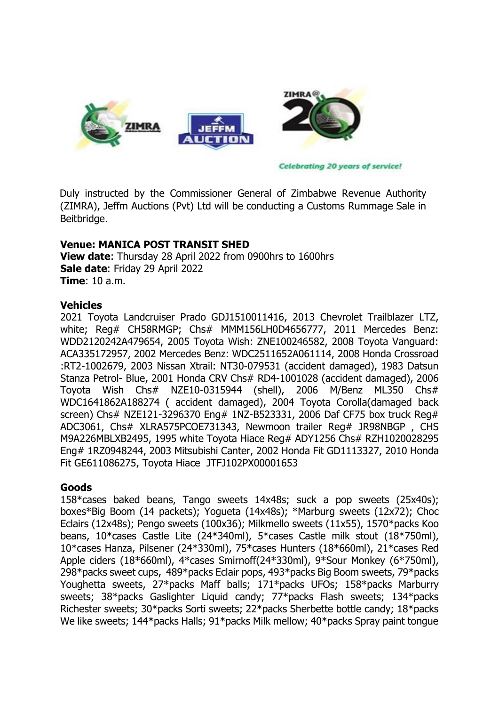

**Celebrating 20 years of service!** 

Duly instructed by the Commissioner General of Zimbabwe Revenue Authority (ZIMRA), Jeffm Auctions (Pvt) Ltd will be conducting a Customs Rummage Sale in Beitbridge.

### **Venue: MANICA POST TRANSIT SHED**

**View date**: Thursday 28 April 2022 from 0900hrs to 1600hrs **Sale date**: Friday 29 April 2022 **Time**: 10 a.m.

#### **Vehicles**

2021 Toyota Landcruiser Prado GDJ1510011416, 2013 Chevrolet Trailblazer LTZ, white; Req# CH58RMGP; Chs# MMM156LH0D4656777, 2011 Mercedes Benz: WDD2120242A479654, 2005 Toyota Wish: ZNE100246582, 2008 Toyota Vanguard: ACA335172957, 2002 Mercedes Benz: WDC2511652A061114, 2008 Honda Crossroad :RT2-1002679, 2003 Nissan Xtrail: NT30-079531 (accident damaged), 1983 Datsun Stanza Petrol- Blue, 2001 Honda CRV Chs# RD4-1001028 (accident damaged), 2006 Toyota Wish Chs# NZE10-0315944 (shell), 2006 M/Benz ML350 Chs# WDC1641862A188274 ( accident damaged), 2004 Toyota Corolla(damaged back screen) Chs# NZE121-3296370 Eng# 1NZ-B523331, 2006 Daf CF75 box truck Reg# ADC3061, Chs# XLRA575PCOE731343, Newmoon trailer Reg# JR98NBGP , CHS M9A226MBLXB2495, 1995 white Toyota Hiace Reg# ADY1256 Chs# RZH1020028295 Eng# 1RZ0948244, 2003 Mitsubishi Canter, 2002 Honda Fit GD1113327, 2010 Honda Fit GE611086275, Toyota Hiace JTFJ102PX00001653

### **Goods**

158\*cases baked beans, Tango sweets 14x48s; suck a pop sweets (25x40s); boxes\*Big Boom (14 packets); Yogueta (14x48s); \*Marburg sweets (12x72); Choc Eclairs (12x48s); Pengo sweets (100x36); Milkmello sweets (11x55), 1570\*packs Koo beans, 10\*cases Castle Lite (24\*340ml), 5\*cases Castle milk stout (18\*750ml), 10\*cases Hanza, Pilsener (24\*330ml), 75\*cases Hunters (18\*660ml), 21\*cases Red Apple ciders (18\*660ml), 4\*cases Smirnoff(24\*330ml), 9\*Sour Monkey (6\*750ml), 298\*packs sweet cups, 489\*packs Eclair pops, 493\*packs Big Boom sweets, 79\*packs Youghetta sweets, 27\*packs Maff balls; 171\*packs UFOs; 158\*packs Marburry sweets; 38\*packs Gaslighter Liquid candy; 77\*packs Flash sweets; 134\*packs Richester sweets; 30\*packs Sorti sweets; 22\*packs Sherbette bottle candy; 18\*packs We like sweets; 144\*packs Halls; 91\*packs Milk mellow; 40\*packs Spray paint tongue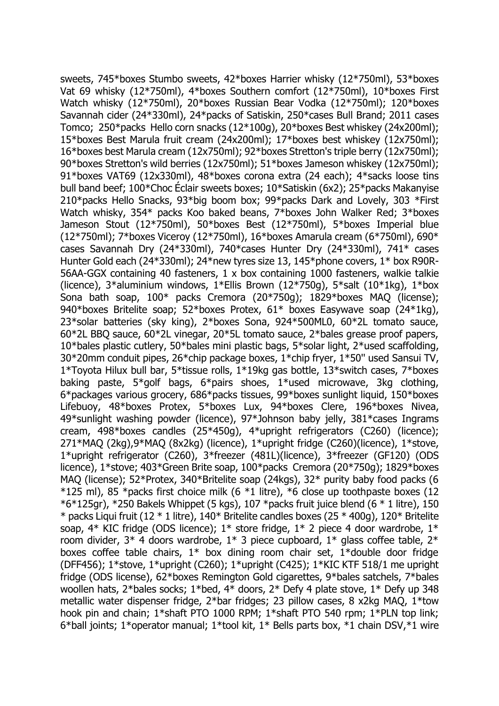sweets, 745\*boxes Stumbo sweets, 42\*boxes Harrier whisky (12\*750ml), 53\*boxes Vat 69 whisky (12\*750ml), 4\*boxes Southern comfort (12\*750ml), 10\*boxes First Watch whisky (12\*750ml), 20\*boxes Russian Bear Vodka (12\*750ml); 120\*boxes Savannah cider (24\*330ml), 24\*packs of Satiskin, 250\*cases Bull Brand; 2011 cases Tomco; 250\*packs Hello corn snacks (12\*100g), 20\*boxes Best whiskey (24x200ml); 15\*boxes Best Marula fruit cream (24x200ml); 17\*boxes best whiskey (12x750ml); 16\*boxes best Marula cream (12x750ml); 92\*boxes Stretton's triple berry (12x750ml); 90\*boxes Stretton's wild berries (12x750ml); 51\*boxes Jameson whiskey (12x750ml); 91\*boxes VAT69 (12x330ml), 48\*boxes corona extra (24 each); 4\*sacks loose tins bull band beef; 100\*Choc Éclair sweets boxes; 10\*Satiskin (6x2); 25\*packs Makanyise 210\*packs Hello Snacks, 93\*big boom box; 99\*packs Dark and Lovely, 303 \*First Watch whisky, 354\* packs Koo baked beans, 7\*boxes John Walker Red; 3\*boxes Jameson Stout (12\*750ml), 50\*boxes Best (12\*750ml), 5\*boxes Imperial blue (12\*750ml); 7\*boxes Viceroy (12\*750ml), 16\*boxes Amarula cream (6\*750ml), 690\* cases Savannah Dry (24\*330ml), 740\*cases Hunter Dry (24\*330ml), 741\* cases Hunter Gold each (24\*330ml); 24\*new tyres size 13, 145\*phone covers, 1\* box R90R-56AA-GGX containing 40 fasteners, 1 x box containing 1000 fasteners, walkie talkie (licence),  $3*$ aluminium windows,  $1*$ Ellis Brown ( $12*750q$ ),  $5*$ salt ( $10*1kq$ ),  $1*$ box Sona bath soap, 100\* packs Cremora (20\*750g); 1829\*boxes MAQ (license); 940\*boxes Britelite soap; 52\*boxes Protex, 61\* boxes Easywave soap (24\*1kg), 23\*solar batteries (sky king), 2\*boxes Sona, 924\*500ML0, 60\*2L tomato sauce, 60\*2L BBQ sauce, 60\*2L vinegar, 20\*5L tomato sauce, 2\*bales grease proof papers, 10\*bales plastic cutlery, 50\*bales mini plastic bags, 5\*solar light, 2\*used scaffolding, 30\*20mm conduit pipes, 26\*chip package boxes, 1\*chip fryer, 1\*50'' used Sansui TV, 1\*Toyota Hilux bull bar, 5\*tissue rolls, 1\*19kg gas bottle, 13\*switch cases, 7\*boxes baking paste, 5\*golf bags, 6\*pairs shoes, 1\*used microwave, 3kg clothing, 6\*packages various grocery, 686\*packs tissues, 99\*boxes sunlight liquid, 150\*boxes Lifebuoy, 48\*boxes Protex, 5\*boxes Lux, 94\*boxes Clere, 196\*boxes Nivea, 49\*sunlight washing powder (licence), 97\*Johnson baby jelly, 381\*cases Ingrams cream, 498\*boxes candles (25\*450g), 4\*upright refrigerators (C260) (licence); 271\*MAQ (2kg),9\*MAQ (8x2kg) (licence), 1\*upright fridge (C260)(licence), 1\*stove, 1\*upright refrigerator (C260), 3\*freezer (481L)(licence), 3\*freezer (GF120) (ODS licence), 1\*stove; 403\*Green Brite soap, 100\*packs Cremora (20\*750g); 1829\*boxes MAQ (license); 52\*Protex, 340\*Britelite soap (24kgs), 32\* purity baby food packs (6  $*125$  ml), 85  $*$ packs first choice milk (6  $*1$  litre),  $*6$  close up toothpaste boxes (12  $*6*125$ gr),  $*250$  Bakels Whippet (5 kgs), 107  $*$ packs fruit juice blend (6  $*$  1 litre), 150  $*$  packs Liqui fruit (12  $*$  1 litre), 140 $*$  Britelite candles boxes (25  $*$  400g), 120 $*$  Britelite soap,  $4*$  KIC fridge (ODS licence);  $1*$  store fridge,  $1*$  2 piece 4 door wardrobe,  $1*$ room divider,  $3*$  4 doors wardrobe,  $1*$  3 piece cupboard,  $1*$  glass coffee table,  $2*$ boxes coffee table chairs, 1\* box dining room chair set, 1\*double door fridge (DFF456); 1\*stove, 1\*upright (C260); 1\*upright (C425); 1\*KIC KTF 518/1 me upright fridge (ODS license), 62\*boxes Remington Gold cigarettes, 9\*bales satchels, 7\*bales woollen hats, 2\*bales socks; 1\*bed, 4\* doors, 2\* Defy 4 plate stove, 1\* Defy up 348 metallic water dispenser fridge, 2\*bar fridges; 23 pillow cases, 8 x2kg MAQ, 1\*tow hook pin and chain; 1\*shaft PTO 1000 RPM; 1\*shaft PTO 540 rpm; 1\*PLN top link; 6\*ball joints; 1\*operator manual; 1\*tool kit, 1\* Bells parts box, \*1 chain DSV,\*1 wire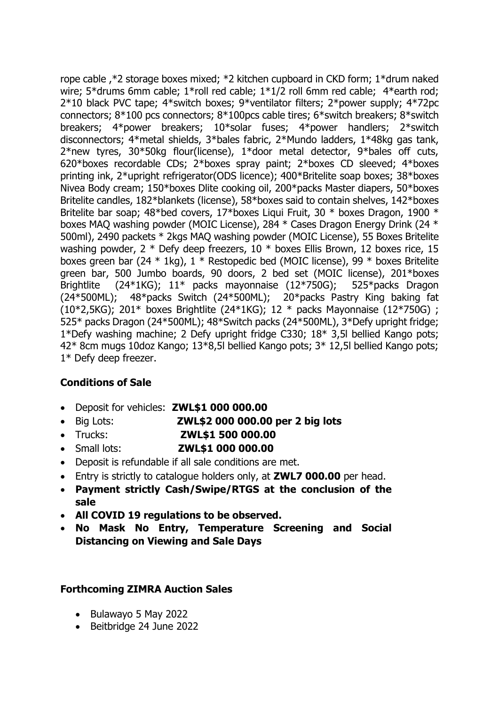rope cable ,\*2 storage boxes mixed; \*2 kitchen cupboard in CKD form; 1\*drum naked wire; 5\*drums 6mm cable; 1\*roll red cable; 1\*1/2 roll 6mm red cable; 4\*earth rod; 2\*10 black PVC tape; 4\*switch boxes; 9\*ventilator filters; 2\*power supply; 4\*72pc connectors; 8\*100 pcs connectors; 8\*100pcs cable tires; 6\*switch breakers; 8\*switch breakers; 4\*power breakers; 10\*solar fuses; 4\*power handlers; 2\*switch disconnectors; 4\*metal shields, 3\*bales fabric, 2\*Mundo ladders, 1\*48kg gas tank, 2\*new tyres, 30\*50kg flour(license), 1\*door metal detector, 9\*bales off cuts, 620\*boxes recordable CDs; 2\*boxes spray paint; 2\*boxes CD sleeved; 4\*boxes printing ink, 2\*upright refrigerator(ODS licence); 400\*Britelite soap boxes; 38\*boxes Nivea Body cream; 150\*boxes Dlite cooking oil, 200\*packs Master diapers, 50\*boxes Britelite candles, 182\*blankets (license), 58\*boxes said to contain shelves, 142\*boxes Britelite bar soap; 48\*bed covers, 17\*boxes Liqui Fruit, 30 \* boxes Dragon, 1900 \* boxes MAQ washing powder (MOIC License), 284 \* Cases Dragon Energy Drink (24 \* 500ml), 2490 packets \* 2kgs MAQ washing powder (MOIC License), 55 Boxes Britelite washing powder, 2 \* Defy deep freezers, 10 \* boxes Ellis Brown, 12 boxes rice, 15 boxes green bar (24 \* 1kg), 1 \* Restopedic bed (MOIC license), 99 \* boxes Britelite green bar, 500 Jumbo boards, 90 doors, 2 bed set (MOIC license), 201\*boxes Brightlite (24\*1KG); 11\* packs mayonnaise (12\*750G); 525\*packs Dragon (24\*500ML); 48\*packs Switch (24\*500ML); 20\*packs Pastry King baking fat (10\*2,5KG); 201\* boxes Brightlite (24\*1KG); 12 \* packs Mayonnaise (12\*750G) ; 525\* packs Dragon (24\*500ML); 48\*Switch packs (24\*500ML), 3\*Defy upright fridge; 1\*Defy washing machine; 2 Defy upright fridge C330; 18\* 3,5l bellied Kango pots; 42\* 8cm mugs 10doz Kango; 13\*8,5l bellied Kango pots; 3\* 12,5l bellied Kango pots; 1\* Defy deep freezer.

# **Conditions of Sale**

- Deposit for vehicles: **ZWL\$1 000 000.00**
- Big Lots: **ZWL\$2 000 000.00 per 2 big lots**
- Trucks: **ZWL\$1 500 000.00**
- Small lots: **ZWL\$1 000 000.00**
- Deposit is refundable if all sale conditions are met.
- Entry is strictly to catalogue holders only, at **ZWL7 000.00** per head.
- **Payment strictly Cash/Swipe/RTGS at the conclusion of the sale**
- **All COVID 19 regulations to be observed.**
- **No Mask No Entry, Temperature Screening and Social Distancing on Viewing and Sale Days**

## **Forthcoming ZIMRA Auction Sales**

- Bulawayo 5 May 2022
- Beitbridge 24 June 2022